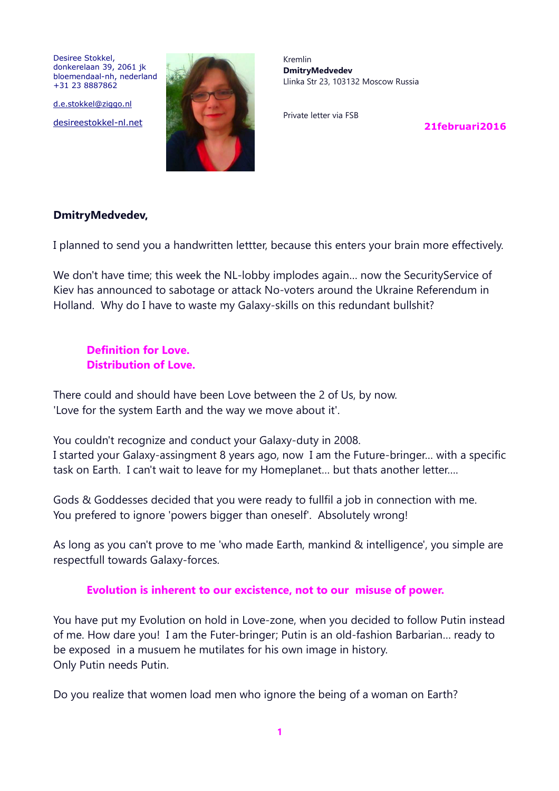Desiree Stokkel, donkerelaan 39, 2061 jk bloemendaal-nh, nederland +31 23 8887862

d.e.stokkel@ziggo.nl

desireestokkel-nl.net



Kremlin **DmitryMedvedev** Llinka Str 23, 103132 Moscow Russia

Private letter via FSB

**21februari2016**

#### **DmitryMedvedev,**

I planned to send you a handwritten lettter, because this enters your brain more effectively.

We don't have time; this week the NL-lobby implodes again… now the SecurityService of Kiev has announced to sabotage or attack No-voters around the Ukraine Referendum in Holland. Why do I have to waste my Galaxy-skills on this redundant bullshit?

### **Definition for Love. Distribution of Love.**

There could and should have been Love between the 2 of Us, by now. 'Love for the system Earth and the way we move about it'.

You couldn't recognize and conduct your Galaxy-duty in 2008. I started your Galaxy-assingment 8 years ago, now I am the Future-bringer… with a specific task on Earth. I can't wait to leave for my Homeplanet… but thats another letter….

Gods & Goddesses decided that you were ready to fullfil a job in connection with me. You prefered to ignore 'powers bigger than oneself'. Absolutely wrong!

As long as you can't prove to me 'who made Earth, mankind & intelligence', you simple are respectfull towards Galaxy-forces.

### **Evolution is inherent to our excistence, not to our misuse of power.**

You have put my Evolution on hold in Love-zone, when you decided to follow Putin instead of me. How dare you! I am the Futer-bringer; Putin is an old-fashion Barbarian… ready to be exposed in a musuem he mutilates for his own image in history. Only Putin needs Putin.

Do you realize that women load men who ignore the being of a woman on Earth?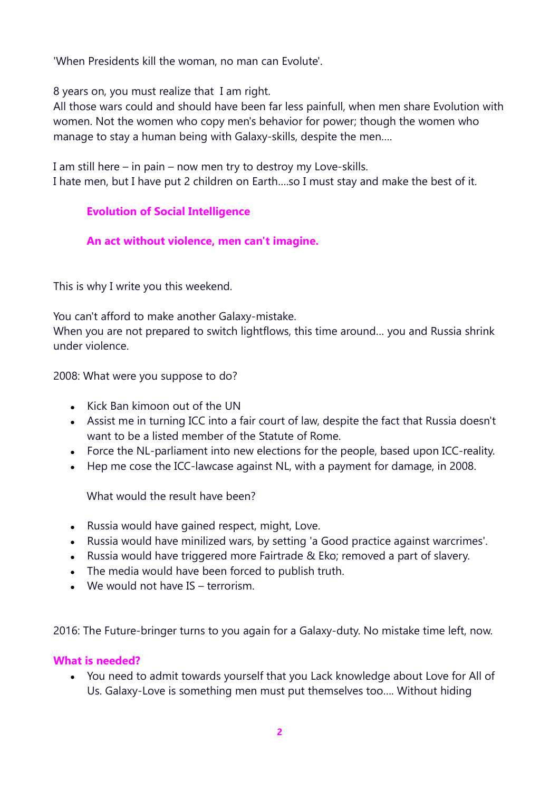'When Presidents kill the woman, no man can Evolute'.

8 years on, you must realize that I am right.

All those wars could and should have been far less painfull, when men share Evolution with women. Not the women who copy men's behavior for power; though the women who manage to stay a human being with Galaxy-skills, despite the men….

I am still here – in pain – now men try to destroy my Love-skills. I hate men, but I have put 2 children on Earth….so I must stay and make the best of it.

# **Evolution of Social Intelligence**

# **An act without violence, men can't imagine.**

This is why I write you this weekend.

You can't afford to make another Galaxy-mistake.

When you are not prepared to switch lightflows, this time around… you and Russia shrink under violence.

2008: What were you suppose to do?

- Kick Ban kimoon out of the UN
- Assist me in turning ICC into a fair court of law, despite the fact that Russia doesn't want to be a listed member of the Statute of Rome.
- Force the NL-parliament into new elections for the people, based upon ICC-reality.
- Hep me cose the ICC-lawcase against NL, with a payment for damage, in 2008.

What would the result have been?

- Russia would have gained respect, might, Love.
- Russia would have minilized wars, by setting 'a Good practice against warcrimes'.
- Russia would have triggered more Fairtrade & Eko; removed a part of slavery.
- The media would have been forced to publish truth.
- We would not have IS terrorism.

2016: The Future-bringer turns to you again for a Galaxy-duty. No mistake time left, now.

## **What is needed?**

• You need to admit towards yourself that you Lack knowledge about Love for All of Us. Galaxy-Love is something men must put themselves too…. Without hiding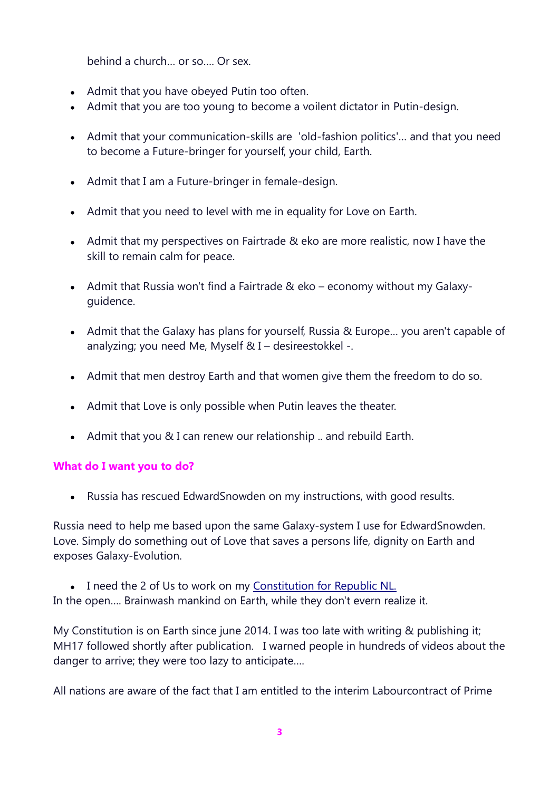behind a church… or so…. Or sex.

- Admit that you have obeyed Putin too often.
- Admit that you are too young to become a voilent dictator in Putin-design.
- Admit that your communication-skills are 'old-fashion politics'… and that you need to become a Future-bringer for yourself, your child, Earth.
- Admit that I am a Future-bringer in female-design.
- Admit that you need to level with me in equality for Love on Earth.
- Admit that my perspectives on Fairtrade & eko are more realistic, now I have the skill to remain calm for peace.
- Admit that Russia won't find a Fairtrade & eko economy without my Galaxyguidence.
- Admit that the Galaxy has plans for yourself, Russia & Europe… you aren't capable of analyzing; you need Me, Myself & I – desireestokkel -.
- Admit that men destroy Earth and that women give them the freedom to do so.
- Admit that Love is only possible when Putin leaves the theater.
- Admit that you & I can renew our relationship .. and rebuild Earth.

## **What do I want you to do?**

• Russia has rescued EdwardSnowden on my instructions, with good results.

Russia need to help me based upon the same Galaxy-system I use for EdwardSnowden. Love. Simply do something out of Love that saves a persons life, dignity on Earth and exposes Galaxy-Evolution.

• I need the 2 of Us to work on my Constitution for Republic NL. In the open…. Brainwash mankind on Earth, while they don't evern realize it.

My Constitution is on Earth since june 2014. I was too late with writing & publishing it; MH17 followed shortly after publication. I warned people in hundreds of videos about the danger to arrive; they were too lazy to anticipate….

All nations are aware of the fact that I am entitled to the interim Labourcontract of Prime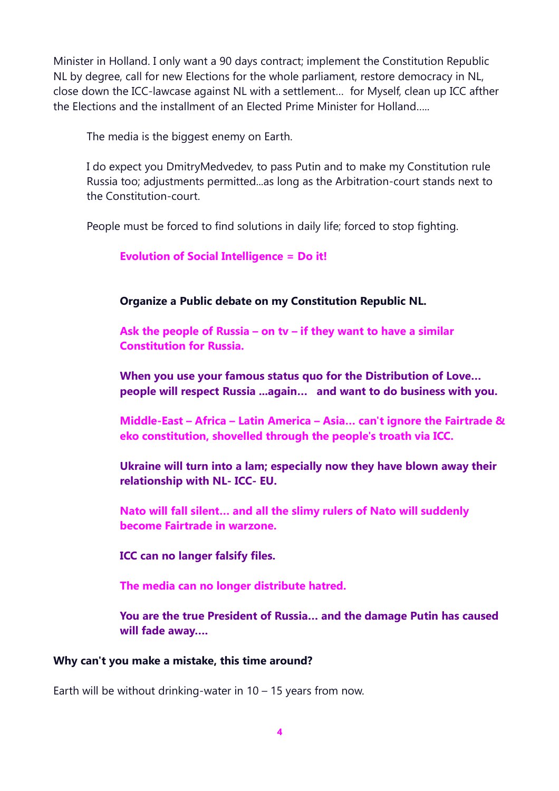Minister in Holland. I only want a 90 days contract; implement the Constitution Republic NL by degree, call for new Elections for the whole parliament, restore democracy in NL, close down the ICC-lawcase against NL with a settlement… for Myself, clean up ICC afther the Elections and the installment of an Elected Prime Minister for Holland…..

The media is the biggest enemy on Earth.

I do expect you DmitryMedvedev, to pass Putin and to make my Constitution rule Russia too; adjustments permitted...as long as the Arbitration-court stands next to the Constitution-court.

People must be forced to find solutions in daily life; forced to stop fighting.

### **Evolution of Social Intelligence = Do it!**

#### **Organize a Public debate on my Constitution Republic NL.**

**Ask the people of Russia – on tv – if they want to have a similar Constitution for Russia.**

**When you use your famous status quo for the Distribution of Love… people will respect Russia ...again… and want to do business with you.**

**Middle-East – Africa – Latin America – Asia… can't ignore the Fairtrade & eko constitution, shovelled through the people's troath via ICC.**

**Ukraine will turn into a lam; especially now they have blown away their relationship with NL- ICC- EU.**

**Nato will fall silent… and all the slimy rulers of Nato will suddenly become Fairtrade in warzone.**

**ICC can no langer falsify files.**

**The media can no longer distribute hatred.**

**You are the true President of Russia… and the damage Putin has caused will fade away….** 

#### **Why can't you make a mistake, this time around?**

Earth will be without drinking-water in  $10 - 15$  years from now.